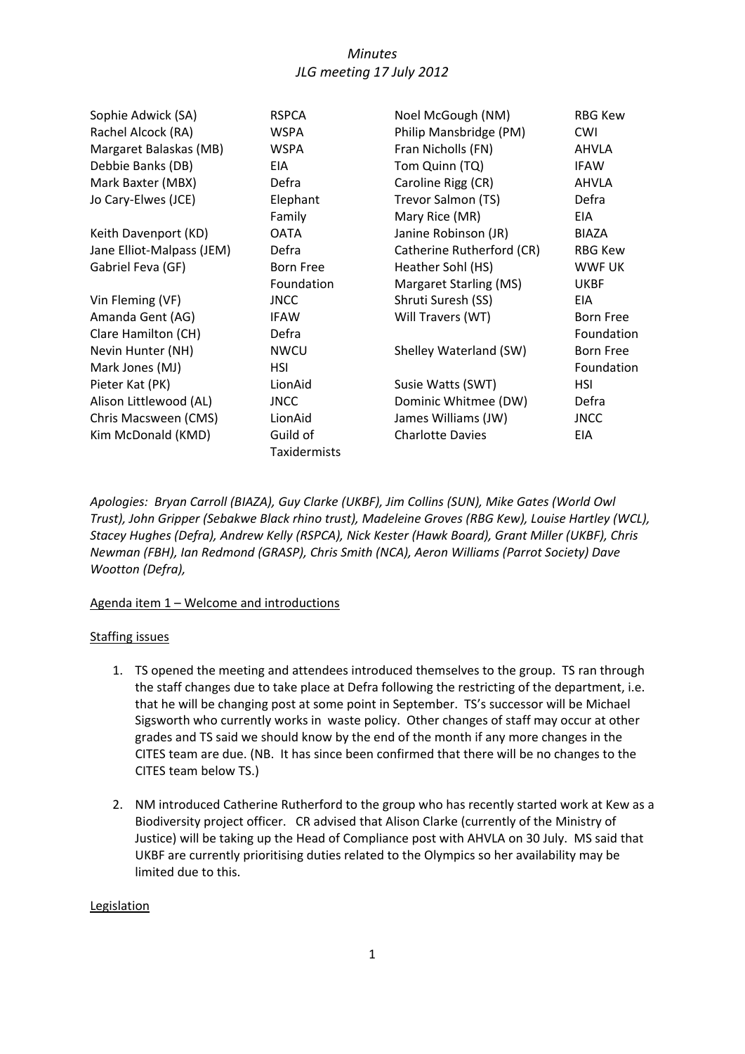| Sophie Adwick (SA)        | <b>RSPCA</b> | Noel McGough (NM)         | <b>RBG Kew</b>   |
|---------------------------|--------------|---------------------------|------------------|
| Rachel Alcock (RA)        | <b>WSPA</b>  | Philip Mansbridge (PM)    | <b>CWI</b>       |
| Margaret Balaskas (MB)    | <b>WSPA</b>  | Fran Nicholls (FN)        | AHVLA            |
| Debbie Banks (DB)         | EIA.         | Tom Quinn (TQ)            | <b>IFAW</b>      |
| Mark Baxter (MBX)         | Defra        | Caroline Rigg (CR)        | <b>AHVLA</b>     |
| Jo Cary-Elwes (JCE)       | Elephant     | Trevor Salmon (TS)        | Defra            |
|                           | Family       | Mary Rice (MR)            | <b>EIA</b>       |
| Keith Davenport (KD)      | <b>OATA</b>  | Janine Robinson (JR)      | <b>BIAZA</b>     |
| Jane Elliot-Malpass (JEM) | Defra        | Catherine Rutherford (CR) | <b>RBG Kew</b>   |
| Gabriel Feva (GF)         | Born Free    | Heather Sohl (HS)         | WWF UK           |
|                           | Foundation   | Margaret Starling (MS)    | <b>UKBF</b>      |
| Vin Fleming (VF)          | <b>JNCC</b>  | Shruti Suresh (SS)        | <b>EIA</b>       |
| Amanda Gent (AG)          | <b>IFAW</b>  | Will Travers (WT)         | <b>Born Free</b> |
| Clare Hamilton (CH)       | Defra        |                           | Foundation       |
| Nevin Hunter (NH)         | <b>NWCU</b>  | Shelley Waterland (SW)    | <b>Born Free</b> |
| Mark Jones (MJ)           | <b>HSI</b>   |                           | Foundation       |
| Pieter Kat (PK)           | LionAid      | Susie Watts (SWT)         | <b>HSI</b>       |
| Alison Littlewood (AL)    | <b>JNCC</b>  | Dominic Whitmee (DW)      | Defra            |
| Chris Macsween (CMS)      | LionAid      | James Williams (JW)       | <b>JNCC</b>      |
| Kim McDonald (KMD)        | Guild of     | <b>Charlotte Davies</b>   | EIA              |
|                           | Taxidermists |                           |                  |

*Apologies: Bryan Carroll (BIAZA), Guy Clarke (UKBF), Jim Collins (SUN), Mike Gates (World Owl Trust), John Gripper (Sebakwe Black rhino trust), Madeleine Groves (RBG Kew), Louise Hartley (WCL), Stacey Hughes (Defra), Andrew Kelly (RSPCA), Nick Kester (Hawk Board), Grant Miller (UKBF), Chris Newman (FBH), Ian Redmond (GRASP), Chris Smith (NCA), Aeron Williams (Parrot Society) Dave Wootton (Defra),*

### Agenda item 1 – Welcome and introductions

### Staffing issues

- 1. TS opened the meeting and attendees introduced themselves to the group. TS ran through the staff changes due to take place at Defra following the restricting of the department, i.e. that he will be changing post at some point in September. TS's successor will be Michael Sigsworth who currently works in waste policy. Other changes of staff may occur at other grades and TS said we should know by the end of the month if any more changes in the CITES team are due. (NB. It has since been confirmed that there will be no changes to the CITES team below TS.)
- 2. NM introduced Catherine Rutherford to the group who has recently started work at Kew as a Biodiversity project officer. CR advised that Alison Clarke (currently of the Ministry of Justice) will be taking up the Head of Compliance post with AHVLA on 30 July. MS said that UKBF are currently prioritising duties related to the Olympics so her availability may be limited due to this.

### Legislation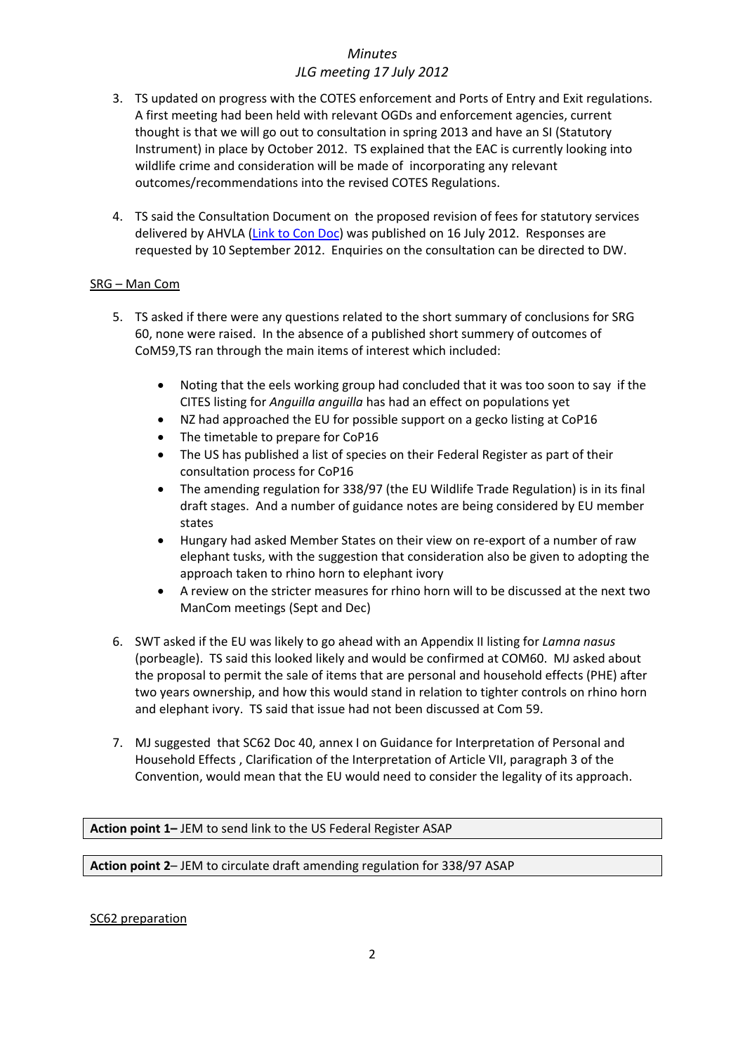- 3. TS updated on progress with the COTES enforcement and Ports of Entry and Exit regulations. A first meeting had been held with relevant OGDs and enforcement agencies, current thought is that we will go out to consultation in spring 2013 and have an SI (Statutory Instrument) in place by October 2012. TS explained that the EAC is currently looking into wildlife crime and consideration will be made of incorporating any relevant outcomes/recommendations into the revised COTES Regulations.
- 4. TS said the Consultation Document on the proposed revision of fees for statutory services delivered by AHVLA ([Link](http://www.defra.gov.uk/consult/2012/07/16/ahvla-fee-revision/) to Con Doc) was published on 16 July 2012. Responses are requested by 10 September 2012. Enquiries on the consultation can be directed to DW.

## SRG – Man Com

- 5. TS asked if there were any questions related to the short summary of conclusions for SRG 60, none were raised. In the absence of a published short summery of outcomes of CoM59,TS ran through the main items of interest which included:
	- Noting that the eels working group had concluded that it was too soon to say if the CITES listing for *Anguilla anguilla* has had an effect on populations yet
	- NZ had approached the EU for possible support on a gecko listing at CoP16
	- The timetable to prepare for CoP16
	- The US has published a list of species on their Federal Register as part of their consultation process for CoP16
	- The amending regulation for 338/97 (the EU Wildlife Trade Regulation) is in its final draft stages. And a number of guidance notes are being considered by EU member states
	- Hungary had asked Member States on their view on re‐export of a number of raw elephant tusks, with the suggestion that consideration also be given to adopting the approach taken to rhino horn to elephant ivory
	- A review on the stricter measures for rhino horn will to be discussed at the next two ManCom meetings (Sept and Dec)
- 6. SWT asked if the EU was likely to go ahead with an Appendix II listing for *Lamna nasus* (porbeagle). TS said this looked likely and would be confirmed at COM60. MJ asked about the proposal to permit the sale of items that are personal and household effects (PHE) after two years ownership, and how this would stand in relation to tighter controls on rhino horn and elephant ivory. TS said that issue had not been discussed at Com 59.
- 7. MJ suggested that SC62 Doc 40, annex I on Guidance for Interpretation of Personal and Household Effects , Clarification of the Interpretation of Article VII, paragraph 3 of the Convention, would mean that the EU would need to consider the legality of its approach.

**Action point 1–** JEM to send link to the US Federal Register ASAP

**Action point 2**– JEM to circulate draft amending regulation for 338/97 ASAP

SC62 preparation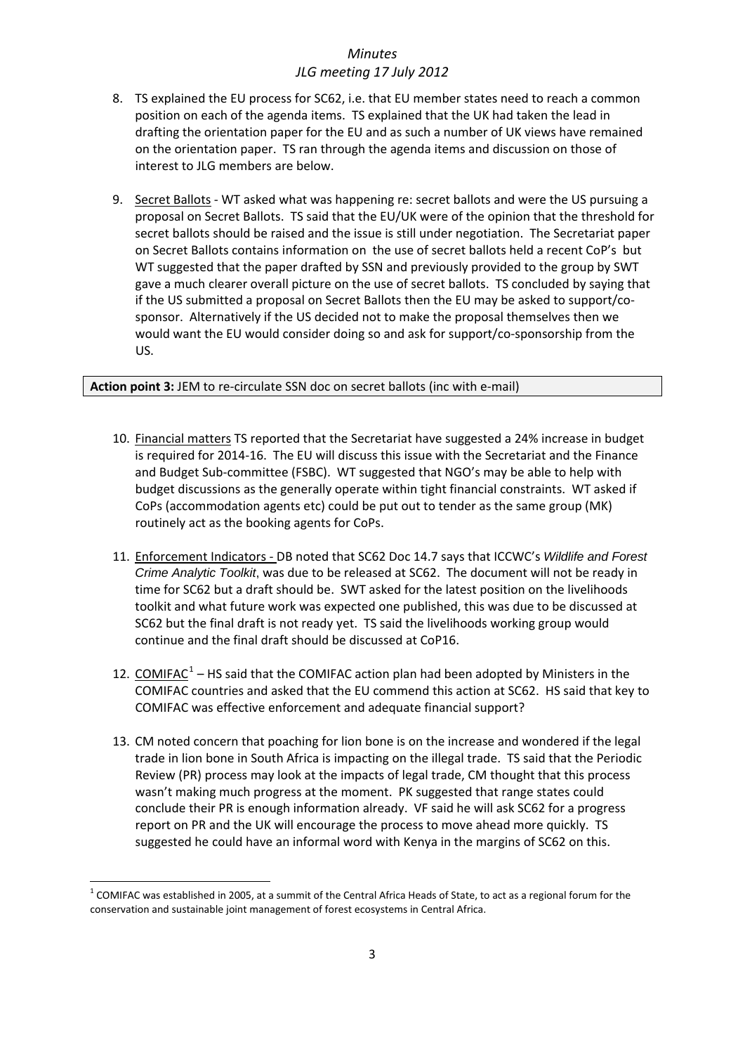- 8. TS explained the EU process for SC62, i.e. that EU member states need to reach a common position on each of the agenda items. TS explained that the UK had taken the lead in drafting the orientation paper for the EU and as such a number of UK views have remained on the orientation paper. TS ran through the agenda items and discussion on those of interest to JLG members are below.
- 9. Secret Ballots WT asked what was happening re: secret ballots and were the US pursuing a proposal on Secret Ballots. TS said that the EU/UK were of the opinion that the threshold for secret ballots should be raised and the issue is still under negotiation. The Secretariat paper on Secret Ballots contains information on the use of secret ballots held a recent CoP's but WT suggested that the paper drafted by SSN and previously provided to the group by SWT gave a much clearer overall picture on the use of secret ballots. TS concluded by saying that if the US submitted a proposal on Secret Ballots then the EU may be asked to support/co‐ sponsor. Alternatively if the US decided not to make the proposal themselves then we would want the EU would consider doing so and ask for support/co‐sponsorship from the US.

**Action point 3:** JEM to re‐circulate SSN doc on secret ballots (inc with e‐mail)

- 10. Financial matters TS reported that the Secretariat have suggested a 24% increase in budget is required for 2014‐16. The EU will discuss this issue with the Secretariat and the Finance and Budget Sub-committee (FSBC). WT suggested that NGO's may be able to help with budget discussions as the generally operate within tight financial constraints. WT asked if CoPs (accommodation agents etc) could be put out to tender as the same group (MK) routinely act as the booking agents for CoPs.
- 11. Enforcement Indicators ‐ DB noted that SC62 Doc 14.7 says that ICCWC's *Wildlife and Forest Crime Analytic Toolkit*, was due to be released at SC62. The document will not be ready in time for SC62 but a draft should be. SWT asked for the latest position on the livelihoods toolkit and what future work was expected one published, this was due to be discussed at SC62 but the final draft is not ready yet. TS said the livelihoods working group would continue and the final draft should be discussed at CoP16.
- [1](#page-2-0)2. COMIFAC $<sup>1</sup>$  HS said that the COMIFAC action plan had been adopted by Ministers in the</sup> COMIFAC countries and asked that the EU commend this action at SC62. HS said that key to COMIFAC was effective enforcement and adequate financial support?
- 13. CM noted concern that poaching for lion bone is on the increase and wondered if the legal trade in lion bone in South Africa is impacting on the illegal trade. TS said that the Periodic Review (PR) process may look at the impacts of legal trade, CM thought that this process wasn't making much progress at the moment. PK suggested that range states could conclude their PR is enough information already. VF said he will ask SC62 for a progress report on PR and the UK will encourage the process to move ahead more quickly. TS suggested he could have an informal word with Kenya in the margins of SC62 on this.

<span id="page-2-0"></span> $1$  COMIFAC was established in 2005, at a summit of the Central Africa Heads of State, to act as a regional forum for the conservation and sustainable joint management of forest ecosystems in Central Africa.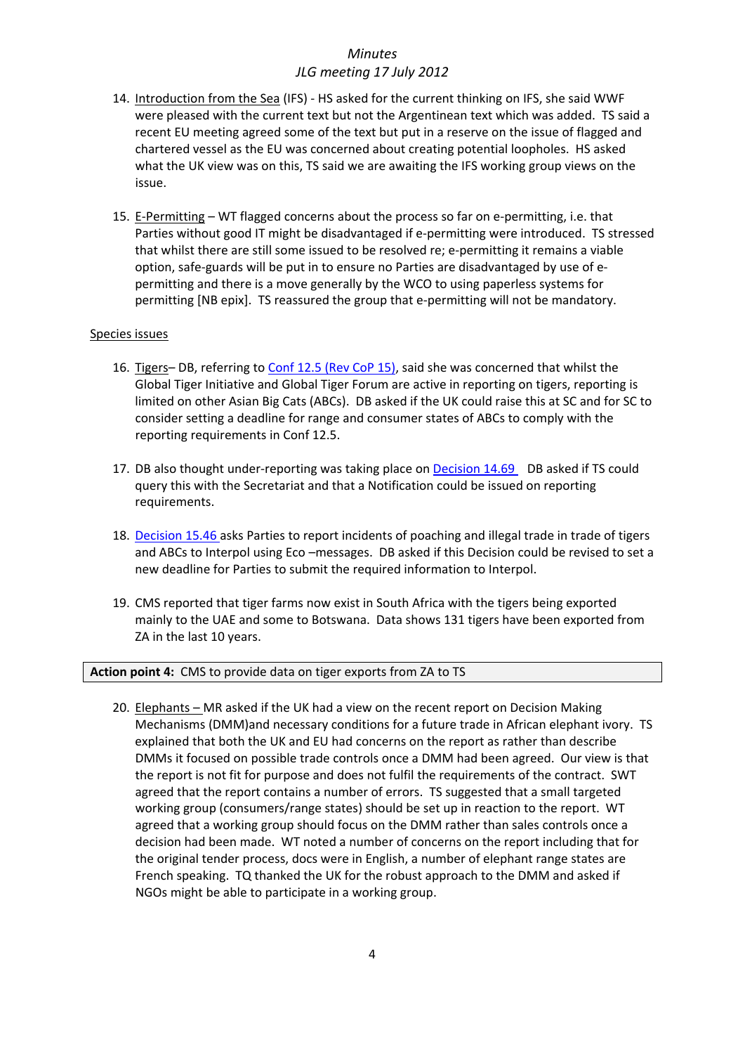- 14. Introduction from the Sea (IFS) HS asked for the current thinking on IFS, she said WWF were pleased with the current text but not the Argentinean text which was added. TS said a recent EU meeting agreed some of the text but put in a reserve on the issue of flagged and chartered vessel as the EU was concerned about creating potential loopholes. HS asked what the UK view was on this, TS said we are awaiting the IFS working group views on the issue.
- 15. E-Permitting WT flagged concerns about the process so far on e-permitting, i.e. that Parties without good IT might be disadvantaged if e‐permitting were introduced. TS stressed that whilst there are still some issued to be resolved re; e‐permitting it remains a viable option, safe‐guards will be put in to ensure no Parties are disadvantaged by use of e‐ permitting and there is a move generally by the WCO to using paperless systems for permitting [NB epix]. TS reassured the group that e‐permitting will not be mandatory.

#### Species issues

- 16. Tigers– DB, referring to [Conf](http://www.cites.org/eng/res/12/12-05R15.php) 12.5 (Rev CoP 15), said she was concerned that whilst the Global Tiger Initiative and Global Tiger Forum are active in reporting on tigers, reporting is limited on other Asian Big Cats (ABCs). DB asked if the UK could raise this at SC and for SC to consider setting a deadline for range and consumer states of ABCs to comply with the reporting requirements in Conf 12.5.
- 17. DB also thought under-reporting was taking place on [Decision](http://www.cites.org/eng/dec/valid15/14_66-68-69_15-70.php) 14.69 DB asked if TS could query this with the Secretariat and that a Notification could be issued on reporting requirements.
- 18. [Decision](http://www.cites.org/eng/dec/valid15/15_46-49.php) 15.46 asks Parties to report incidents of poaching and illegal trade in trade of tigers and ABCs to Interpol using Eco –messages. DB asked if this Decision could be revised to set a new deadline for Parties to submit the required information to Interpol.
- 19. CMS reported that tiger farms now exist in South Africa with the tigers being exported mainly to the UAE and some to Botswana. Data shows 131 tigers have been exported from ZA in the last 10 years.

#### **Action point 4:** CMS to provide data on tiger exports from ZA to TS

20. Elephants – MR asked if the UK had a view on the recent report on Decision Making Mechanisms (DMM)and necessary conditions for a future trade in African elephant ivory. TS explained that both the UK and EU had concerns on the report as rather than describe DMMs it focused on possible trade controls once a DMM had been agreed. Our view is that the report is not fit for purpose and does not fulfil the requirements of the contract. SWT agreed that the report contains a number of errors. TS suggested that a small targeted working group (consumers/range states) should be set up in reaction to the report. WT agreed that a working group should focus on the DMM rather than sales controls once a decision had been made. WT noted a number of concerns on the report including that for the original tender process, docs were in English, a number of elephant range states are French speaking. TQ thanked the UK for the robust approach to the DMM and asked if NGOs might be able to participate in a working group.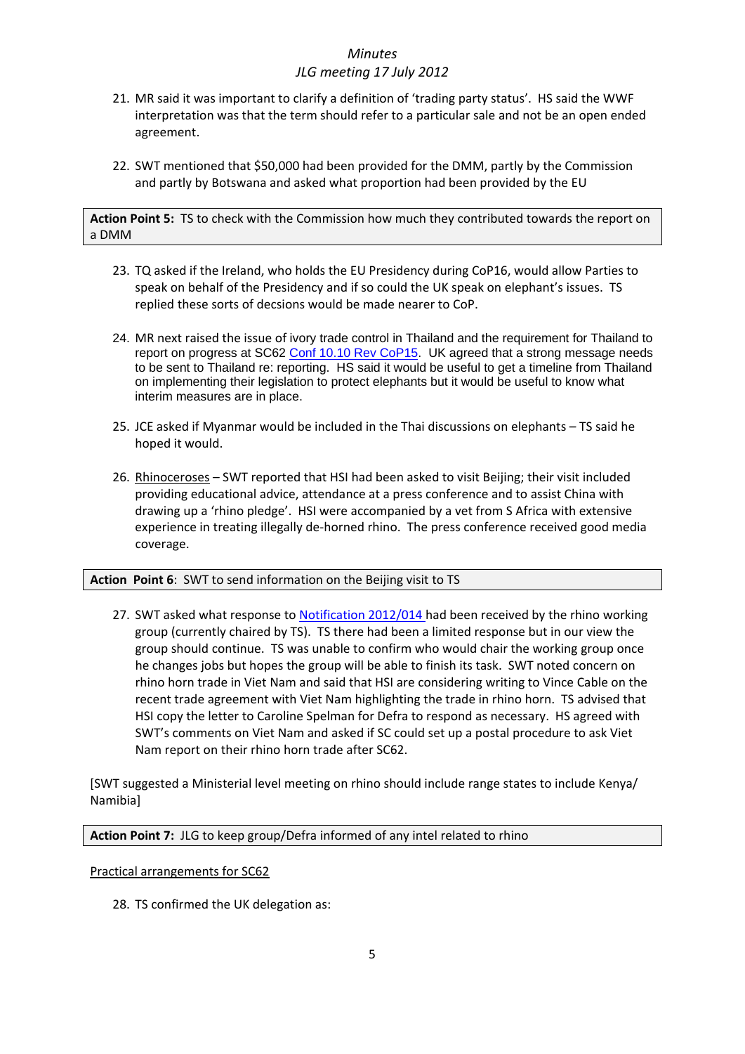- 21. MR said it was important to clarify a definition of 'trading party status'. HS said the WWF interpretation was that the term should refer to a particular sale and not be an open ended agreement.
- 22. SWT mentioned that \$50,000 had been provided for the DMM, partly by the Commission and partly by Botswana and asked what proportion had been provided by the EU

**Action Point 5:** TS to check with the Commission how much they contributed towards the report on a DMM

- 23. TQ asked if the Ireland, who holds the EU Presidency during CoP16, would allow Parties to speak on behalf of the Presidency and if so could the UK speak on elephant's issues. TS replied these sorts of decsions would be made nearer to CoP.
- 24. MR next raised the issue of ivory trade control in Thailand and the requirement for Thailand to report on progress at SC62 [Conf 10.10 Rev CoP15](http://www.cites.org/eng/res/10/10-10R15.php). UK agreed that a strong message needs to be sent to Thailand re: reporting. HS said it would be useful to get a timeline from Thailand on implementing their legislation to protect elephants but it would be useful to know what interim measures are in place.
- 25. JCE asked if Myanmar would be included in the Thai discussions on elephants TS said he hoped it would.
- 26. Rhinoceroses SWT reported that HSI had been asked to visit Beijing; their visit included providing educational advice, attendance at a press conference and to assist China with drawing up a 'rhino pledge'. HSI were accompanied by a vet from S Africa with extensive experience in treating illegally de‐horned rhino. The press conference received good media coverage.

### **Action Point 6**: SWT to send information on the Beijing visit to TS

27. SWT asked what response to [Notification](http://www.cites.org/eng/notif/2012/E014.pdf) 2012/014 had been received by the rhino working group (currently chaired by TS). TS there had been a limited response but in our view the group should continue. TS was unable to confirm who would chair the working group once he changes jobs but hopes the group will be able to finish its task. SWT noted concern on rhino horn trade in Viet Nam and said that HSI are considering writing to Vince Cable on the recent trade agreement with Viet Nam highlighting the trade in rhino horn. TS advised that HSI copy the letter to Caroline Spelman for Defra to respond as necessary. HS agreed with SWT's comments on Viet Nam and asked if SC could set up a postal procedure to ask Viet Nam report on their rhino horn trade after SC62.

[SWT suggested a Ministerial level meeting on rhino should include range states to include Kenya/ Namibia]

**Action Point 7:** JLG to keep group/Defra informed of any intel related to rhino

Practical arrangements for SC62

28. TS confirmed the UK delegation as: